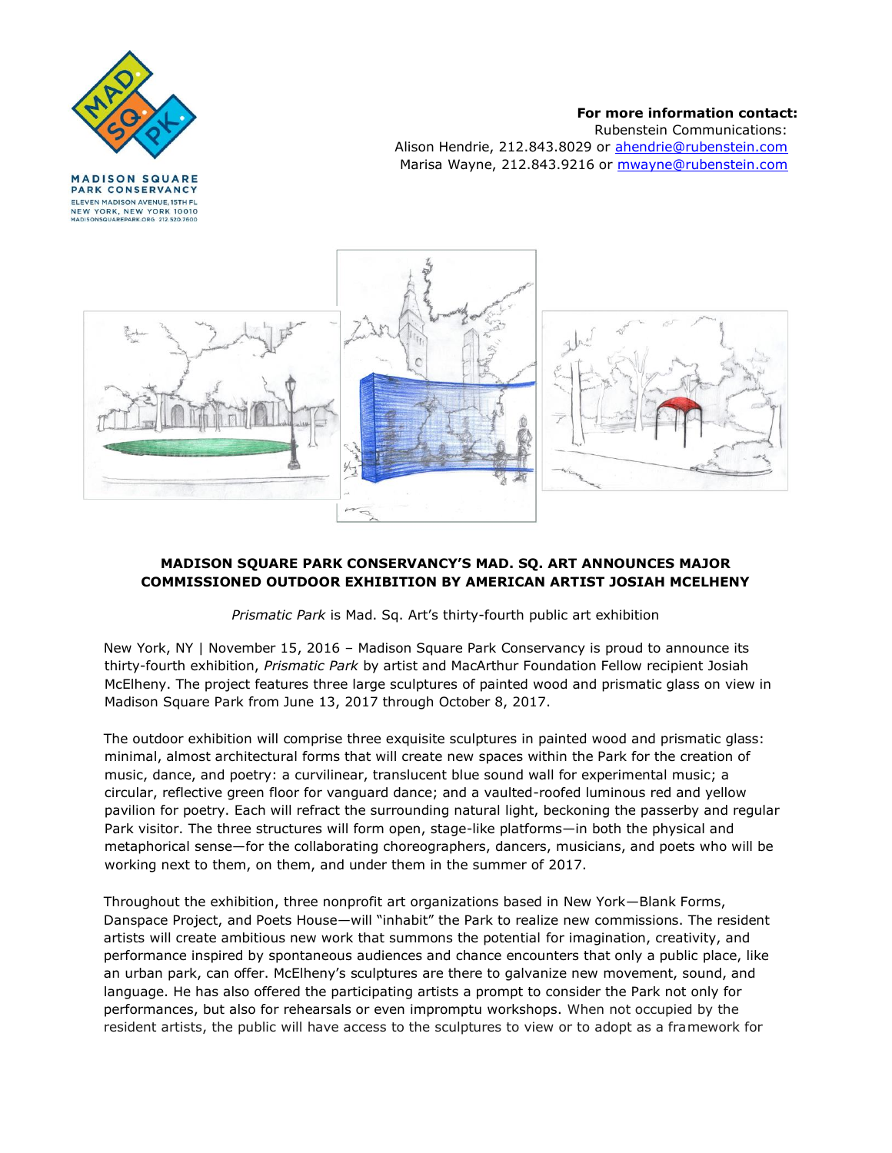

**PARK CONSERVANCY** ELEVEN MADISON AVENUE, 15TH FL NEW YORK, NEW YORK 10010 SQUAREPARK.ORG 212.520.76

#### **For more information contact:**

Rubenstein Communications: Alison Hendrie, 212.843.8029 or ahendrie@rubenstein.com Marisa Wayne, 212.843.9216 or mwayne@rubenstein.com



# **MADISON SQUARE PARK CONSERVANCY'S MAD. SQ. ART ANNOUNCES MAJOR COMMISSIONED OUTDOOR EXHIBITION BY AMERICAN ARTIST JOSIAH MCELHENY**

*Prismatic Park* is Mad. Sq. Art's thirty-fourth public art exhibition

New York, NY | November 15, 2016 – Madison Square Park Conservancy is proud to announce its thirty-fourth exhibition, *Prismatic Park* by artist and MacArthur Foundation Fellow recipient Josiah McElheny. The project features three large sculptures of painted wood and prismatic glass on view in Madison Square Park from June 13, 2017 through October 8, 2017.

The outdoor exhibition will comprise three exquisite sculptures in painted wood and prismatic glass: minimal, almost architectural forms that will create new spaces within the Park for the creation of music, dance, and poetry: a curvilinear, translucent blue sound wall for experimental music; a circular, reflective green floor for vanguard dance; and a vaulted-roofed luminous red and yellow pavilion for poetry. Each will refract the surrounding natural light, beckoning the passerby and regular Park visitor. The three structures will form open, stage-like platforms—in both the physical and metaphorical sense—for the collaborating choreographers, dancers, musicians, and poets who will be working next to them, on them, and under them in the summer of 2017.

Throughout the exhibition, three nonprofit art organizations based in New York—Blank Forms, Danspace Project, and Poets House—will "inhabit" the Park to realize new commissions. The resident artists will create ambitious new work that summons the potential for imagination, creativity, and performance inspired by spontaneous audiences and chance encounters that only a public place, like an urban park, can offer. McElheny's sculptures are there to galvanize new movement, sound, and language. He has also offered the participating artists a prompt to consider the Park not only for performances, but also for rehearsals or even impromptu workshops. When not occupied by the resident artists, the public will have access to the sculptures to view or to adopt as a framework for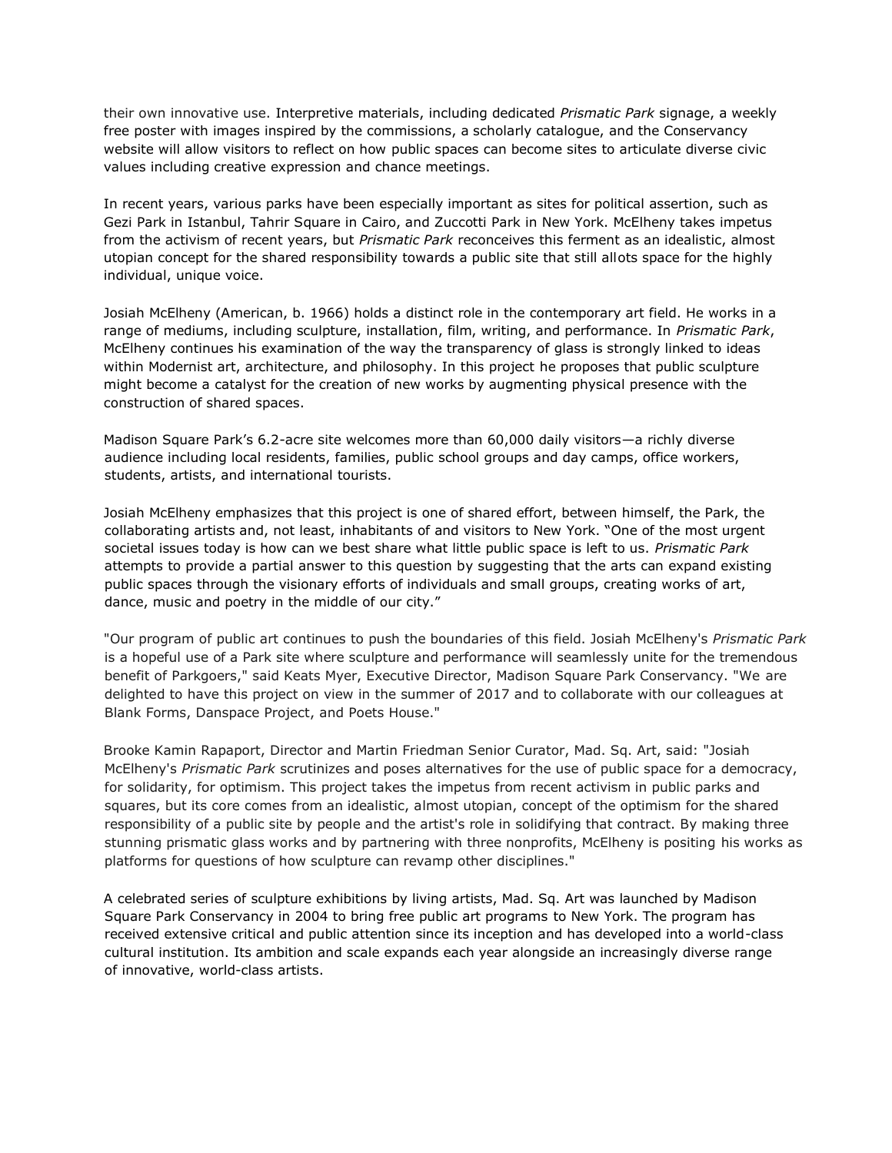their own innovative use. Interpretive materials, including dedicated *Prismatic Park* signage, a weekly free poster with images inspired by the commissions, a scholarly catalogue, and the Conservancy website will allow visitors to reflect on how public spaces can become sites to articulate diverse civic values including creative expression and chance meetings.

In recent years, various parks have been especially important as sites for political assertion, such as Gezi Park in Istanbul, Tahrir Square in Cairo, and Zuccotti Park in New York. McElheny takes impetus from the activism of recent years, but *Prismatic Park* reconceives this ferment as an idealistic, almost utopian concept for the shared responsibility towards a public site that still allots space for the highly individual, unique voice.

Josiah McElheny (American, b. 1966) holds a distinct role in the contemporary art field. He works in a range of mediums, including sculpture, installation, film, writing, and performance. In *Prismatic Park*, McElheny continues his examination of the way the transparency of glass is strongly linked to ideas within Modernist art, architecture, and philosophy. In this project he proposes that public sculpture might become a catalyst for the creation of new works by augmenting physical presence with the construction of shared spaces.

Madison Square Park's 6.2-acre site welcomes more than 60,000 daily visitors—a richly diverse audience including local residents, families, public school groups and day camps, office workers, students, artists, and international tourists.

Josiah McElheny emphasizes that this project is one of shared effort, between himself, the Park, the collaborating artists and, not least, inhabitants of and visitors to New York. "One of the most urgent societal issues today is how can we best share what little public space is left to us. *Prismatic Park* attempts to provide a partial answer to this question by suggesting that the arts can expand existing public spaces through the visionary efforts of individuals and small groups, creating works of art, dance, music and poetry in the middle of our city."

"Our program of public art continues to push the boundaries of this field. Josiah McElheny's *Prismatic Park* is a hopeful use of a Park site where sculpture and performance will seamlessly unite for the tremendous benefit of Parkgoers," said Keats Myer, Executive Director, Madison Square Park Conservancy. "We are delighted to have this project on view in the summer of 2017 and to collaborate with our colleagues at Blank Forms, Danspace Project, and Poets House."

Brooke Kamin Rapaport, Director and Martin Friedman Senior Curator, Mad. Sq. Art, said: "Josiah McElheny's *Prismatic Park* scrutinizes and poses alternatives for the use of public space for a democracy, for solidarity, for optimism. This project takes the impetus from recent activism in public parks and squares, but its core comes from an idealistic, almost utopian, concept of the optimism for the shared responsibility of a public site by people and the artist's role in solidifying that contract. By making three stunning prismatic glass works and by partnering with three nonprofits, McElheny is positing his works as platforms for questions of how sculpture can revamp other disciplines."

A celebrated series of sculpture exhibitions by living artists, Mad. Sq. Art was launched by Madison Square Park Conservancy in 2004 to bring free public art programs to New York. The program has received extensive critical and public attention since its inception and has developed into a world-class cultural institution. Its ambition and scale expands each year alongside an increasingly diverse range of innovative, world-class artists.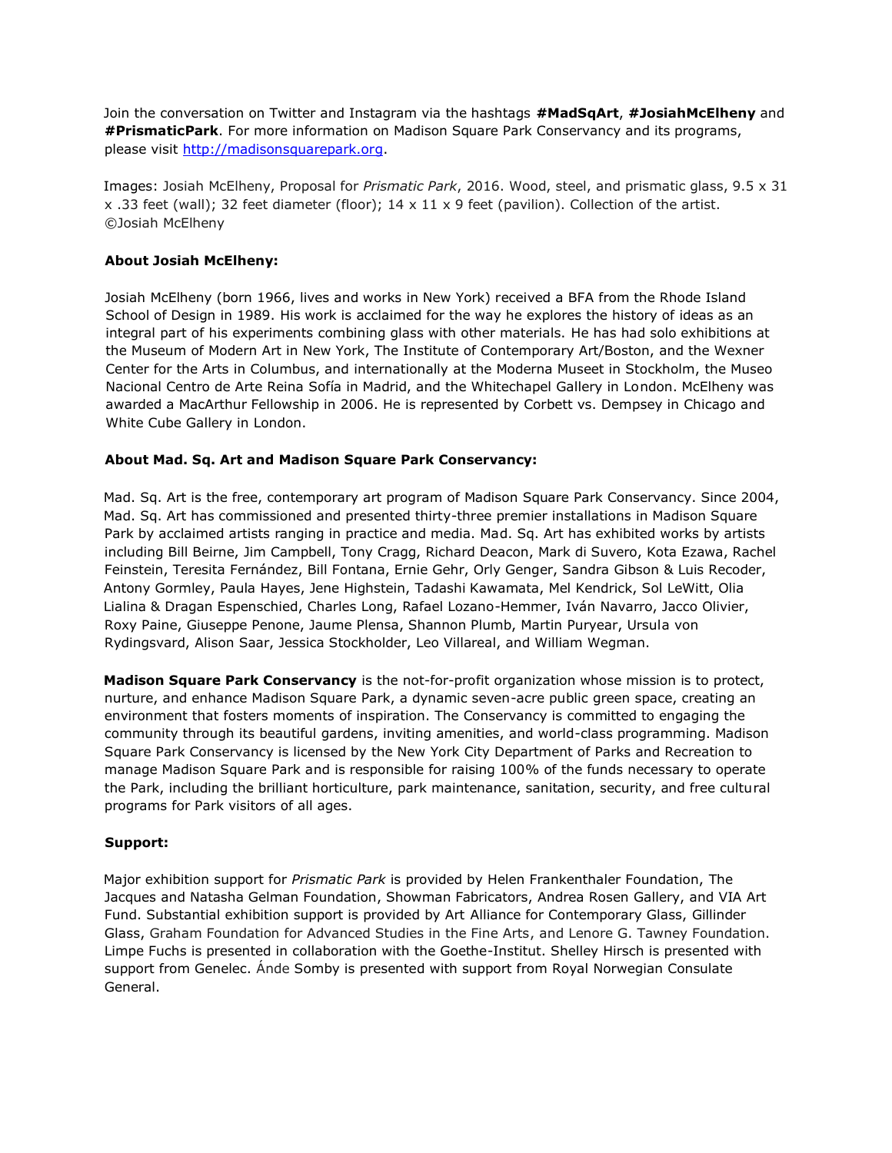Join the conversation on Twitter and Instagram via the hashtags **#MadSqArt**, **#JosiahMcElheny** and **#PrismaticPark**. For more information on Madison Square Park Conservancy and its programs, please visit [http://madisonsquarepark.org.](http://madisonsquarepark.org/)

Images: Josiah McElheny, Proposal for *Prismatic Park*, 2016. Wood, steel, and prismatic glass, 9.5 x 31 x .33 feet (wall); 32 feet diameter (floor); 14 x 11 x 9 feet (pavilion). Collection of the artist. ©Josiah McElheny

# **About Josiah McElheny:**

Josiah McElheny (born 1966, lives and works in New York) received a BFA from the Rhode Island School of Design in 1989. His work is acclaimed for the way he explores the history of ideas as an integral part of his experiments combining glass with other materials. He has had solo exhibitions at the Museum of Modern Art in New York, The Institute of Contemporary Art/Boston, and the Wexner Center for the Arts in Columbus, and internationally at the Moderna Museet in Stockholm, the Museo Nacional Centro de Arte Reina Sofía in Madrid, and the Whitechapel Gallery in London. McElheny was awarded a MacArthur Fellowship in 2006. He is represented by Corbett vs. Dempsey in Chicago and White Cube Gallery in London.

### **About Mad. Sq. Art and Madison Square Park Conservancy:**

Mad. Sq. Art is the free, contemporary art program of Madison Square Park Conservancy. Since 2004, Mad. Sq. Art has commissioned and presented thirty-three premier installations in Madison Square Park by acclaimed artists ranging in practice and media. Mad. Sq. Art has exhibited works by artists including Bill Beirne, Jim Campbell, Tony Cragg, Richard Deacon, Mark di Suvero, Kota Ezawa, Rachel Feinstein, Teresita Fernández, Bill Fontana, Ernie Gehr, Orly Genger, Sandra Gibson & Luis Recoder, Antony Gormley, Paula Hayes, Jene Highstein, Tadashi Kawamata, Mel Kendrick, Sol LeWitt, Olia Lialina & Dragan Espenschied, Charles Long, Rafael Lozano-Hemmer, Iván Navarro, Jacco Olivier, Roxy Paine, Giuseppe Penone, Jaume Plensa, Shannon Plumb, Martin Puryear, Ursula von Rydingsvard, Alison Saar, Jessica Stockholder, Leo Villareal, and William Wegman.

**Madison Square Park Conservancy** is the not-for-profit organization whose mission is to protect, nurture, and enhance Madison Square Park, a dynamic seven-acre public green space, creating an environment that fosters moments of inspiration. The Conservancy is committed to engaging the community through its beautiful gardens, inviting amenities, and world-class programming. Madison Square Park Conservancy is licensed by the New York City Department of Parks and Recreation to manage Madison Square Park and is responsible for raising 100% of the funds necessary to operate the Park, including the brilliant horticulture, park maintenance, sanitation, security, and free cultural programs for Park visitors of all ages.

#### **Support:**

Major exhibition support for *Prismatic Park* is provided by Helen Frankenthaler Foundation, The Jacques and Natasha Gelman Foundation, Showman Fabricators, Andrea Rosen Gallery, and VIA Art Fund. Substantial exhibition support is provided by Art Alliance for Contemporary Glass, Gillinder Glass, Graham Foundation for Advanced Studies in the Fine Arts, and Lenore G. Tawney Foundation. Limpe Fuchs is presented in collaboration with the Goethe-Institut. Shelley Hirsch is presented with support from Genelec. Ánde Somby is presented with support from Royal Norwegian Consulate General.